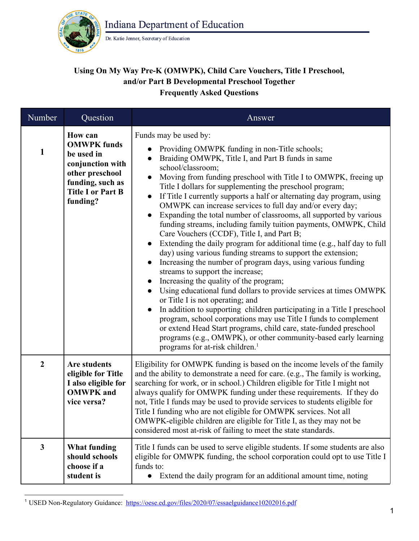

Dr. Katie Jenner, Secretary of Education

## **Using On My Way Pre-K (OMWPK), Child Care Vouchers, Title I Preschool, and/or Part B Developmental Preschool Together Frequently Asked Questions**

| Number           | Question                                                                                                                                              | Answer                                                                                                                                                                                                                                                                                                                                                                                                                                                                                                                                                                                                                                                                                                                                                                                                                                                                                                                                                                                                                                                                                                                                                                                                                                                                                                                                                              |
|------------------|-------------------------------------------------------------------------------------------------------------------------------------------------------|---------------------------------------------------------------------------------------------------------------------------------------------------------------------------------------------------------------------------------------------------------------------------------------------------------------------------------------------------------------------------------------------------------------------------------------------------------------------------------------------------------------------------------------------------------------------------------------------------------------------------------------------------------------------------------------------------------------------------------------------------------------------------------------------------------------------------------------------------------------------------------------------------------------------------------------------------------------------------------------------------------------------------------------------------------------------------------------------------------------------------------------------------------------------------------------------------------------------------------------------------------------------------------------------------------------------------------------------------------------------|
| 1                | <b>How can</b><br><b>OMWPK</b> funds<br>be used in<br>conjunction with<br>other preschool<br>funding, such as<br><b>Title I or Part B</b><br>funding? | Funds may be used by:<br>Providing OMWPK funding in non-Title schools;<br>Braiding OMWPK, Title I, and Part B funds in same<br>school/classroom;<br>Moving from funding preschool with Title I to OMWPK, freeing up<br>Title I dollars for supplementing the preschool program;<br>If Title I currently supports a half or alternating day program, using<br>OMWPK can increase services to full day and/or every day;<br>Expanding the total number of classrooms, all supported by various<br>funding streams, including family tuition payments, OMWPK, Child<br>Care Vouchers (CCDF), Title I, and Part B;<br>Extending the daily program for additional time (e.g., half day to full<br>day) using various funding streams to support the extension;<br>Increasing the number of program days, using various funding<br>streams to support the increase;<br>Increasing the quality of the program;<br>Using educational fund dollars to provide services at times OMWPK<br>$\bullet$<br>or Title I is not operating; and<br>In addition to supporting children participating in a Title I preschool<br>program, school corporations may use Title I funds to complement<br>or extend Head Start programs, child care, state-funded preschool<br>programs (e.g., OMWPK), or other community-based early learning<br>programs for at-risk children. <sup>1</sup> |
| $\boldsymbol{2}$ | <b>Are students</b><br>eligible for Title<br>I also eligible for<br><b>OMWPK</b> and<br>vice versa?                                                   | Eligibility for OMWPK funding is based on the income levels of the family<br>and the ability to demonstrate a need for care. (e.g., The family is working,<br>searching for work, or in school.) Children eligible for Title I might not<br>always qualify for OMWPK funding under these requirements. If they do<br>not, Title I funds may be used to provide services to students eligible for<br>Title I funding who are not eligible for OMWPK services. Not all<br>OMWPK-eligible children are eligible for Title I, as they may not be<br>considered most at-risk of failing to meet the state standards.                                                                                                                                                                                                                                                                                                                                                                                                                                                                                                                                                                                                                                                                                                                                                     |
| $\mathbf{3}$     | <b>What funding</b><br>should schools<br>choose if a<br>student is                                                                                    | Title I funds can be used to serve eligible students. If some students are also<br>eligible for OMWPK funding, the school corporation could opt to use Title I<br>funds to:<br>Extend the daily program for an additional amount time, noting<br>$\bullet$                                                                                                                                                                                                                                                                                                                                                                                                                                                                                                                                                                                                                                                                                                                                                                                                                                                                                                                                                                                                                                                                                                          |

<sup>1</sup> USED Non-Regulatory Guidance: <https://oese.ed.gov/files/2020/07/essaelguidance10202016.pdf>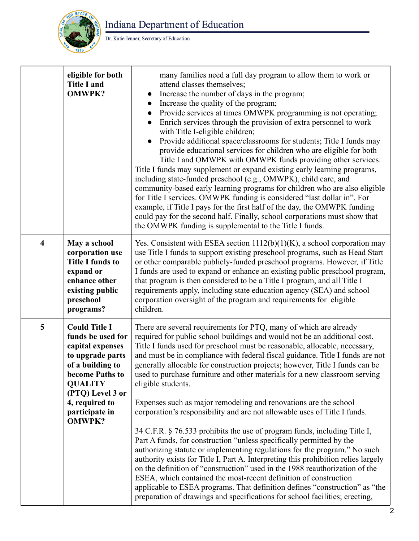

Indiana Department of Education

Dr. Katie Jenner, Secretary of Education

|                         | eligible for both<br><b>Title I and</b><br><b>OMWPK?</b>                                                                                                                                                            | many families need a full day program to allow them to work or<br>attend classes themselves;<br>Increase the number of days in the program;<br>$\bullet$<br>Increase the quality of the program;<br>Provide services at times OMWPK programming is not operating;<br>Enrich services through the provision of extra personnel to work<br>with Title I-eligible children;<br>Provide additional space/classrooms for students; Title I funds may<br>provide educational services for children who are eligible for both<br>Title I and OMWPK with OMWPK funds providing other services.<br>Title I funds may supplement or expand existing early learning programs,<br>including state-funded preschool (e.g., OMWPK), child care, and<br>community-based early learning programs for children who are also eligible<br>for Title I services. OMWPK funding is considered "last dollar in". For<br>example, if Title I pays for the first half of the day, the OMWPK funding<br>could pay for the second half. Finally, school corporations must show that<br>the OMWPK funding is supplemental to the Title I funds.                                                                                                                                                                        |
|-------------------------|---------------------------------------------------------------------------------------------------------------------------------------------------------------------------------------------------------------------|---------------------------------------------------------------------------------------------------------------------------------------------------------------------------------------------------------------------------------------------------------------------------------------------------------------------------------------------------------------------------------------------------------------------------------------------------------------------------------------------------------------------------------------------------------------------------------------------------------------------------------------------------------------------------------------------------------------------------------------------------------------------------------------------------------------------------------------------------------------------------------------------------------------------------------------------------------------------------------------------------------------------------------------------------------------------------------------------------------------------------------------------------------------------------------------------------------------------------------------------------------------------------------------------|
| $\overline{\mathbf{4}}$ | May a school<br>corporation use<br><b>Title I funds to</b><br>expand or<br>enhance other<br>existing public<br>preschool<br>programs?                                                                               | Yes. Consistent with ESEA section $1112(b)(1)(K)$ , a school corporation may<br>use Title I funds to support existing preschool programs, such as Head Start<br>or other comparable publicly-funded preschool programs. However, if Title<br>I funds are used to expand or enhance an existing public preschool program,<br>that program is then considered to be a Title I program, and all Title I<br>requirements apply, including state education agency (SEA) and school<br>corporation oversight of the program and requirements for eligible<br>children.                                                                                                                                                                                                                                                                                                                                                                                                                                                                                                                                                                                                                                                                                                                            |
| 5                       | <b>Could Title I</b><br>funds be used for<br>capital expenses<br>to upgrade parts<br>of a building to<br>become Paths to<br><b>QUALITY</b><br>(PTQ) Level 3 or<br>4, required to<br>participate in<br><b>OMWPK?</b> | There are several requirements for PTQ, many of which are already<br>required for public school buildings and would not be an additional cost.<br>Title I funds used for preschool must be reasonable, allocable, necessary,<br>and must be in compliance with federal fiscal guidance. Title I funds are not<br>generally allocable for construction projects; however, Title I funds can be<br>used to purchase furniture and other materials for a new classroom serving<br>eligible students.<br>Expenses such as major remodeling and renovations are the school<br>corporation's responsibility and are not allowable uses of Title I funds.<br>34 C.F.R. § 76.533 prohibits the use of program funds, including Title I,<br>Part A funds, for construction "unless specifically permitted by the<br>authorizing statute or implementing regulations for the program." No such<br>authority exists for Title I, Part A. Interpreting this prohibition relies largely<br>on the definition of "construction" used in the 1988 reauthorization of the<br>ESEA, which contained the most-recent definition of construction<br>applicable to ESEA programs. That definition defines "construction" as "the<br>preparation of drawings and specifications for school facilities; erecting, |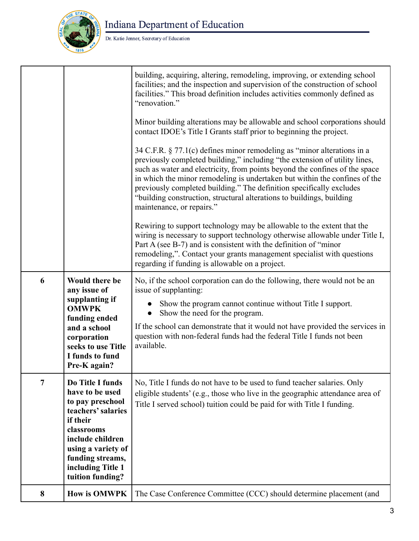

## Indiana Department of Education

## Dr. Katie Jenner, Secretary of Education

|                |                                                                                                                                                                                                                | building, acquiring, altering, remodeling, improving, or extending school<br>facilities; and the inspection and supervision of the construction of school<br>facilities." This broad definition includes activities commonly defined as<br>"renovation."                                                                                                                                                                                                                                            |
|----------------|----------------------------------------------------------------------------------------------------------------------------------------------------------------------------------------------------------------|-----------------------------------------------------------------------------------------------------------------------------------------------------------------------------------------------------------------------------------------------------------------------------------------------------------------------------------------------------------------------------------------------------------------------------------------------------------------------------------------------------|
|                |                                                                                                                                                                                                                | Minor building alterations may be allowable and school corporations should<br>contact IDOE's Title I Grants staff prior to beginning the project.                                                                                                                                                                                                                                                                                                                                                   |
|                |                                                                                                                                                                                                                | 34 C.F.R. $\S$ 77.1(c) defines minor remodeling as "minor alterations in a<br>previously completed building," including "the extension of utility lines,<br>such as water and electricity, from points beyond the confines of the space<br>in which the minor remodeling is undertaken but within the confines of the<br>previously completed building." The definition specifically excludes<br>"building construction, structural alterations to buildings, building<br>maintenance, or repairs." |
|                |                                                                                                                                                                                                                | Rewiring to support technology may be allowable to the extent that the<br>wiring is necessary to support technology otherwise allowable under Title I,<br>Part A (see B-7) and is consistent with the definition of "minor"<br>remodeling,". Contact your grants management specialist with questions<br>regarding if funding is allowable on a project.                                                                                                                                            |
| 6              | Would there be<br>any issue of<br>supplanting if<br><b>OMWPK</b><br>funding ended<br>and a school<br>corporation<br>seeks to use Title<br>I funds to fund<br>Pre-K again?                                      | No, if the school corporation can do the following, there would not be an<br>issue of supplanting:<br>Show the program cannot continue without Title I support.<br>Show the need for the program.<br>If the school can demonstrate that it would not have provided the services in<br>question with non-federal funds had the federal Title I funds not been<br>available.                                                                                                                          |
| $\overline{7}$ | Do Title I funds<br>have to be used<br>to pay preschool<br>teachers' salaries<br>if their<br>classrooms<br>include children<br>using a variety of<br>funding streams,<br>including Title 1<br>tuition funding? | No, Title I funds do not have to be used to fund teacher salaries. Only<br>eligible students' (e.g., those who live in the geographic attendance area of<br>Title I served school) tuition could be paid for with Title I funding.                                                                                                                                                                                                                                                                  |
| 8              | <b>How is OMWPK</b>                                                                                                                                                                                            | The Case Conference Committee (CCC) should determine placement (and                                                                                                                                                                                                                                                                                                                                                                                                                                 |